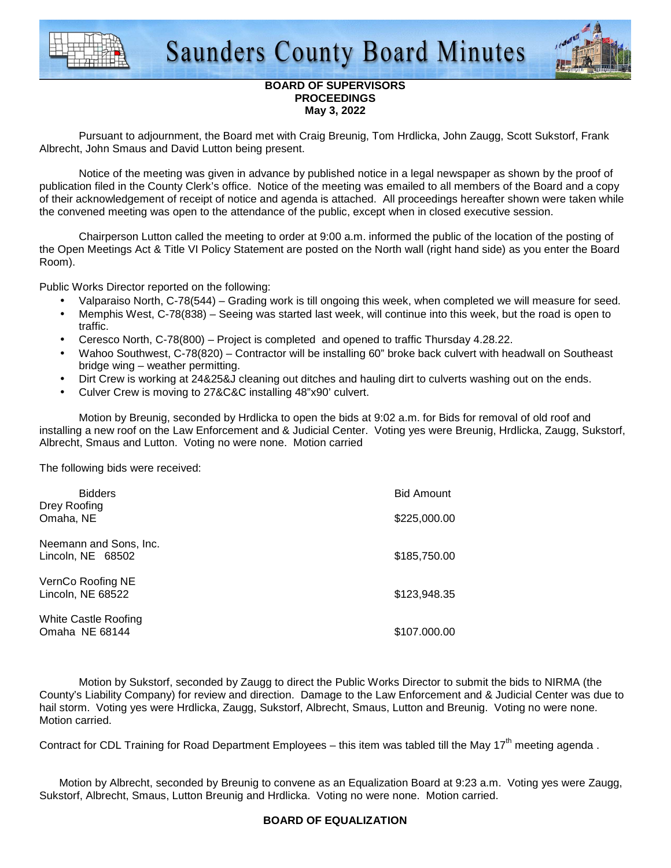



## **BOARD OF SUPERVISORS PROCEEDINGS May 3, 2022**

 Pursuant to adjournment, the Board met with Craig Breunig, Tom Hrdlicka, John Zaugg, Scott Sukstorf, Frank Albrecht, John Smaus and David Lutton being present.

 Notice of the meeting was given in advance by published notice in a legal newspaper as shown by the proof of publication filed in the County Clerk's office. Notice of the meeting was emailed to all members of the Board and a copy of their acknowledgement of receipt of notice and agenda is attached. All proceedings hereafter shown were taken while the convened meeting was open to the attendance of the public, except when in closed executive session.

 Chairperson Lutton called the meeting to order at 9:00 a.m. informed the public of the location of the posting of the Open Meetings Act & Title VI Policy Statement are posted on the North wall (right hand side) as you enter the Board Room).

Public Works Director reported on the following:

- Valparaiso North, C-78(544) Grading work is till ongoing this week, when completed we will measure for seed.
- Memphis West, C-78(838) Seeing was started last week, will continue into this week, but the road is open to traffic.
- Ceresco North, C-78(800) Project is completed and opened to traffic Thursday 4.28.22.
- Wahoo Southwest, C-78(820) Contractor will be installing 60" broke back culvert with headwall on Southeast bridge wing – weather permitting.
- Dirt Crew is working at 24&25&J cleaning out ditches and hauling dirt to culverts washing out on the ends.
- Culver Crew is moving to 27&C&C installing 48"x90' culvert.

Motion by Breunig, seconded by Hrdlicka to open the bids at 9:02 a.m. for Bids for removal of old roof and installing a new roof on the Law Enforcement and & Judicial Center. Voting yes were Breunig, Hrdlicka, Zaugg, Sukstorf, Albrecht, Smaus and Lutton. Voting no were none. Motion carried

The following bids were received:

| <b>Bidders</b><br>Drey Roofing                | <b>Bid Amount</b> |
|-----------------------------------------------|-------------------|
| Omaha, NE                                     | \$225,000.00      |
| Neemann and Sons, Inc.<br>Lincoln, NE 68502   | \$185,750.00      |
| VernCo Roofing NE<br>Lincoln, NE 68522        | \$123,948.35      |
| <b>White Castle Roofing</b><br>Omaha NE 68144 | \$107,000,00      |

 Motion by Sukstorf, seconded by Zaugg to direct the Public Works Director to submit the bids to NIRMA (the County's Liability Company) for review and direction. Damage to the Law Enforcement and & Judicial Center was due to hail storm. Voting yes were Hrdlicka, Zaugg, Sukstorf, Albrecht, Smaus, Lutton and Breunig. Voting no were none. Motion carried.

Contract for CDL Training for Road Department Employees – this item was tabled till the May 17<sup>th</sup> meeting agenda.

Motion by Albrecht, seconded by Breunig to convene as an Equalization Board at 9:23 a.m. Voting yes were Zaugg, Sukstorf, Albrecht, Smaus, Lutton Breunig and Hrdlicka. Voting no were none. Motion carried.

# **BOARD OF EQUALIZATION**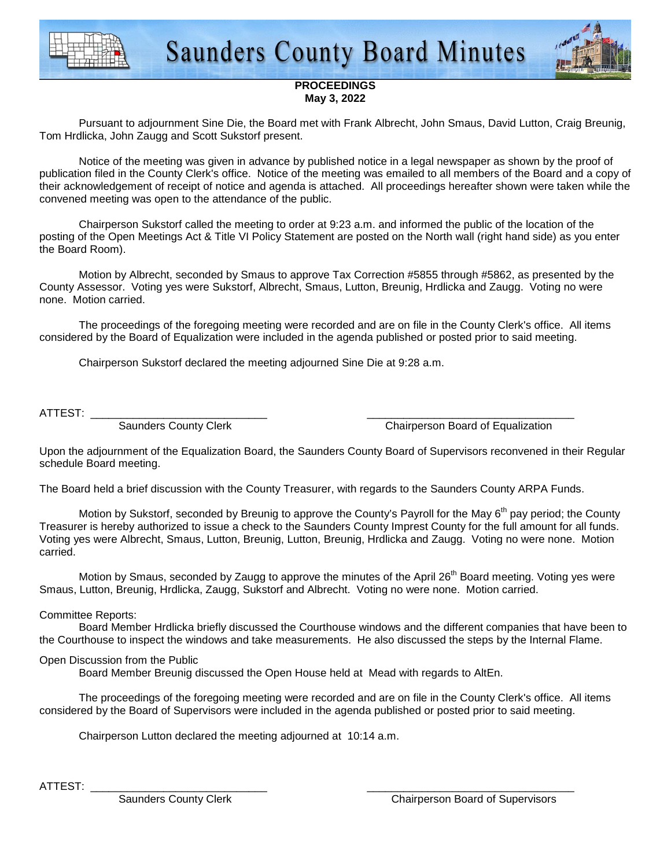



### **PROCEEDINGS May 3, 2022**

 Pursuant to adjournment Sine Die, the Board met with Frank Albrecht, John Smaus, David Lutton, Craig Breunig, Tom Hrdlicka, John Zaugg and Scott Sukstorf present.

 Notice of the meeting was given in advance by published notice in a legal newspaper as shown by the proof of publication filed in the County Clerk's office. Notice of the meeting was emailed to all members of the Board and a copy of their acknowledgement of receipt of notice and agenda is attached. All proceedings hereafter shown were taken while the convened meeting was open to the attendance of the public.

 Chairperson Sukstorf called the meeting to order at 9:23 a.m. and informed the public of the location of the posting of the Open Meetings Act & Title VI Policy Statement are posted on the North wall (right hand side) as you enter the Board Room).

 Motion by Albrecht, seconded by Smaus to approve Tax Correction #5855 through #5862, as presented by the County Assessor. Voting yes were Sukstorf, Albrecht, Smaus, Lutton, Breunig, Hrdlicka and Zaugg. Voting no were none. Motion carried.

 The proceedings of the foregoing meeting were recorded and are on file in the County Clerk's office. All items considered by the Board of Equalization were included in the agenda published or posted prior to said meeting.

Chairperson Sukstorf declared the meeting adjourned Sine Die at 9:28 a.m.

ATTEST: \_\_\_\_\_\_\_\_\_\_\_\_\_\_\_\_\_\_\_\_\_\_\_\_\_\_\_\_\_ \_\_\_\_\_\_\_\_\_\_\_\_\_\_\_\_\_\_\_\_\_\_\_\_\_\_\_\_\_\_\_\_\_\_

Saunders County Clerk Chairperson Board of Equalization

Upon the adjournment of the Equalization Board, the Saunders County Board of Supervisors reconvened in their Regular schedule Board meeting.

The Board held a brief discussion with the County Treasurer, with regards to the Saunders County ARPA Funds.

Motion by Sukstorf, seconded by Breunig to approve the County's Payroll for the May 6<sup>th</sup> pay period; the County Treasurer is hereby authorized to issue a check to the Saunders County Imprest County for the full amount for all funds. Voting yes were Albrecht, Smaus, Lutton, Breunig, Lutton, Breunig, Hrdlicka and Zaugg. Voting no were none. Motion carried.

Motion by Smaus, seconded by Zaugg to approve the minutes of the April 26<sup>th</sup> Board meeting. Voting yes were Smaus, Lutton, Breunig, Hrdlicka, Zaugg, Sukstorf and Albrecht. Voting no were none. Motion carried.

## Committee Reports:

 Board Member Hrdlicka briefly discussed the Courthouse windows and the different companies that have been to the Courthouse to inspect the windows and take measurements. He also discussed the steps by the Internal Flame.

# Open Discussion from the Public

Board Member Breunig discussed the Open House held at Mead with regards to AltEn.

 The proceedings of the foregoing meeting were recorded and are on file in the County Clerk's office. All items considered by the Board of Supervisors were included in the agenda published or posted prior to said meeting.

Chairperson Lutton declared the meeting adjourned at 10:14 a.m.

ATTEST: \_\_\_\_\_\_\_\_\_\_\_\_\_\_\_\_\_\_\_\_\_\_\_\_\_\_\_\_\_ \_\_\_\_\_\_\_\_\_\_\_\_\_\_\_\_\_\_\_\_\_\_\_\_\_\_\_\_\_\_\_\_\_\_